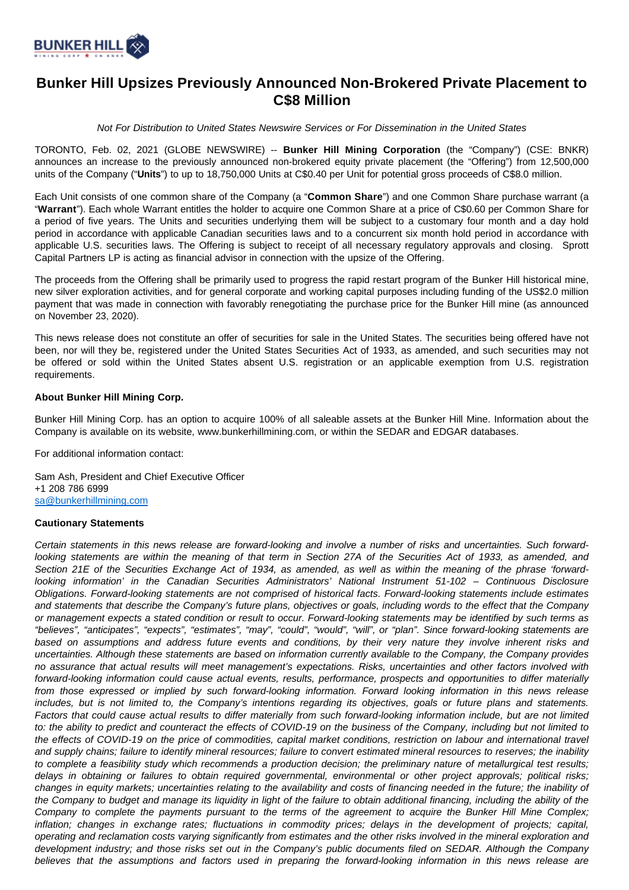

## **Bunker Hill Upsizes Previously Announced Non-Brokered Private Placement to C\$8 Million**

Not For Distribution to United States Newswire Services or For Dissemination in the United States

TORONTO, Feb. 02, 2021 (GLOBE NEWSWIRE) -- **Bunker Hill Mining Corporation** (the "Company") (CSE: BNKR) announces an increase to the previously announced non-brokered equity private placement (the "Offering") from 12,500,000 units of the Company ("**Units**") to up to 18,750,000 Units at C\$0.40 per Unit for potential gross proceeds of C\$8.0 million.

Each Unit consists of one common share of the Company (a "**Common Share**") and one Common Share purchase warrant (a "**Warrant**"). Each whole Warrant entitles the holder to acquire one Common Share at a price of C\$0.60 per Common Share for a period of five years. The Units and securities underlying them will be subject to a customary four month and a day hold period in accordance with applicable Canadian securities laws and to a concurrent six month hold period in accordance with applicable U.S. securities laws. The Offering is subject to receipt of all necessary regulatory approvals and closing. Sprott Capital Partners LP is acting as financial advisor in connection with the upsize of the Offering.

The proceeds from the Offering shall be primarily used to progress the rapid restart program of the Bunker Hill historical mine, new silver exploration activities, and for general corporate and working capital purposes including funding of the US\$2.0 million payment that was made in connection with favorably renegotiating the purchase price for the Bunker Hill mine (as announced on November 23, 2020).

This news release does not constitute an offer of securities for sale in the United States. The securities being offered have not been, nor will they be, registered under the United States Securities Act of 1933, as amended, and such securities may not be offered or sold within the United States absent U.S. registration or an applicable exemption from U.S. registration requirements.

## **About Bunker Hill Mining Corp.**

Bunker Hill Mining Corp. has an option to acquire 100% of all saleable assets at the Bunker Hill Mine. Information about the Company is available on its website, www.bunkerhillmining.com, or within the SEDAR and EDGAR databases.

For additional information contact:

Sam Ash, President and Chief Executive Officer +1 208 786 6999 [sa@bunkerhillmining.com](mailto:sa@bunkerhillmining.com)

## **Cautionary Statements**

Certain statements in this news release are forward-looking and involve a number of risks and uncertainties. Such forwardlooking statements are within the meaning of that term in Section 27A of the Securities Act of 1933, as amended, and Section 21E of the Securities Exchange Act of 1934, as amended, as well as within the meaning of the phrase 'forwardlooking information' in the Canadian Securities Administrators' National Instrument 51-102 – Continuous Disclosure Obligations. Forward-looking statements are not comprised of historical facts. Forward-looking statements include estimates and statements that describe the Company's future plans, objectives or goals, including words to the effect that the Company or management expects a stated condition or result to occur. Forward-looking statements may be identified by such terms as "believes", "anticipates", "expects", "estimates", "may", "could", "would", "will", or "plan". Since forward-looking statements are based on assumptions and address future events and conditions, by their very nature they involve inherent risks and uncertainties. Although these statements are based on information currently available to the Company, the Company provides no assurance that actual results will meet management's expectations. Risks, uncertainties and other factors involved with forward-looking information could cause actual events, results, performance, prospects and opportunities to differ materially from those expressed or implied by such forward-looking information. Forward looking information in this news release includes, but is not limited to, the Company's intentions regarding its objectives, goals or future plans and statements. Factors that could cause actual results to differ materially from such forward-looking information include, but are not limited to: the ability to predict and counteract the effects of COVID-19 on the business of the Company, including but not limited to the effects of COVID-19 on the price of commodities, capital market conditions, restriction on labour and international travel and supply chains; failure to identify mineral resources; failure to convert estimated mineral resources to reserves; the inability to complete a feasibility study which recommends a production decision; the preliminary nature of metallurgical test results; delays in obtaining or failures to obtain required governmental, environmental or other project approvals; political risks; changes in equity markets; uncertainties relating to the availability and costs of financing needed in the future; the inability of the Company to budget and manage its liquidity in light of the failure to obtain additional financing, including the ability of the Company to complete the payments pursuant to the terms of the agreement to acquire the Bunker Hill Mine Complex; inflation; changes in exchange rates; fluctuations in commodity prices; delays in the development of projects; capital, operating and reclamation costs varying significantly from estimates and the other risks involved in the mineral exploration and development industry; and those risks set out in the Company's public documents filed on SEDAR. Although the Company believes that the assumptions and factors used in preparing the forward-looking information in this news release are